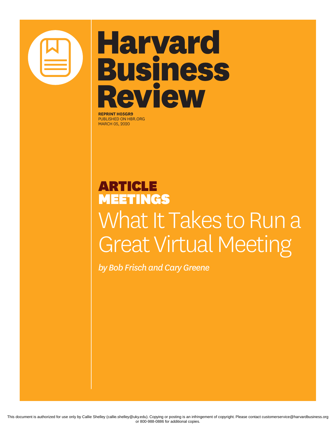

## **Harvard Business Review**

**REPRINT H05GR9** PUBLISHED ON HBR.ORG MARCH 05, 2020

## ARTICLE MEETINGS What It Takes to Run a Great Virtual Meeting

*by Bob Frisch and Cary Greene*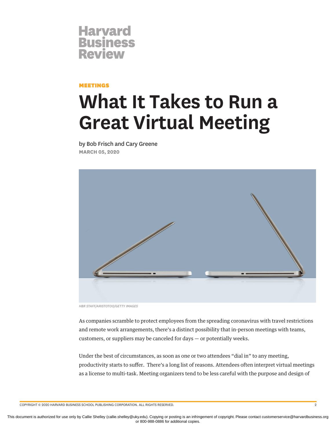

## MEETINGS

## **What It Takes to Run a Great Virtual Meeting**

by Bob Frisch and Cary Greene **MARCH 05, 2020**



*HBR STAFF/ARISTOTOO/GETTY IMAGES*

As companies scramble to protect employees from the spreading coronavirus with travel restrictions and remote work arrangements, there's a distinct possibility that in-person meetings with teams, customers, or suppliers may be canceled for days — or potentially weeks.

Under the best of circumstances, as soon as one or two attendees "dial in" to any meeting, productivity starts to suffer. There's a long list of reasons. Attendees often interpret virtual meetings as a license to multi-task. Meeting organizers tend to be less careful with the purpose and design of

COPYRIGHT © 2020 HARVARD BUSINESS SCHOOL PUBLISHING CORPORATION. ALL RIGHTS RESERVED. 2

This document is authorized for use only by Callie Shelley (callie.shelley@uky.edu). Copying or posting is an infringement of copyright. Please contact customerservice@harvardbusiness.org or 800-988-0886 for additional copies.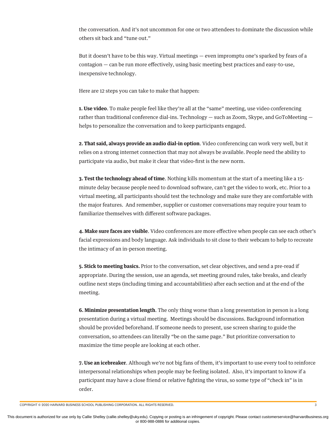the conversation. And it's not uncommon for one or two attendees to dominate the discussion while others sit back and "tune out."

But it doesn't have to be this way. Virtual meetings — even impromptu one's sparked by fears of a contagion — can be run more effectively, using basic meeting best practices and easy-to-use, inexpensive technology.

Here are 12 steps you can take to make that happen:

**1. Use video**. To make people feel like they're all at the "same" meeting, use video conferencing rather than traditional conference dial-ins. Technology — such as Zoom, Skype, and GoToMeeting helps to personalize the conversation and to keep participants engaged.

**2. That said, always provide an audio dial-in option**. Video conferencing can work very well, but it relies on a strong internet connection that may not always be available. People need the ability to participate via audio, but make it clear that video-first is the new norm.

**3. Test the technology ahead of time**. Nothing kills momentum at the start of a meeting like a 15 minute delay because people need to download software, can't get the video to work, etc. Prior to a virtual meeting, all participants should test the technology and make sure they are comfortable with the major features. And remember, supplier or customer conversations may require your team to familiarize themselves with different software packages.

**4. Make sure faces are visible**. Video conferences are more effective when people can see each other's facial expressions and body language. Ask individuals to sit close to their webcam to help to recreate the intimacy of an in-person meeting.

**5. Stick to meeting basics.** Prior to the conversation, set clear objectives, and send a pre-read if appropriate. During the session, use an agenda, set meeting ground rules, take breaks, and clearly outline next steps (including timing and accountabilities) after each section and at the end of the meeting.

**6. Minimize presentation length**. The only thing worse than a long presentation in person is a long presentation during a virtual meeting. Meetings should be discussions. Background information should be provided beforehand. If someone needs to present, use screen sharing to guide the conversation, so attendees can literally "be on the same page." But prioritize conversation to maximize the time people are looking at each other.

**7. Use an icebreaker**. Although we're not big fans of them, it's important to use every tool to reinforce interpersonal relationships when people may be feeling isolated. Also, it's important to know if a participant may have a close friend or relative fighting the virus, so some type of "check in" is in order.

COPYRIGHT © 2020 HARVARD BUSINESS SCHOOL PUBLISHING CORPORATION. ALL RIGHTS RESERVED. 3